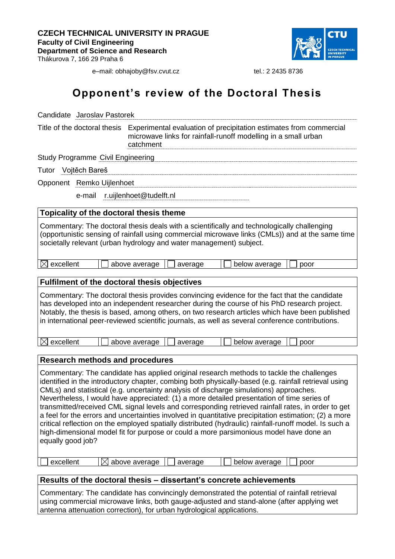

e-mail: obhajoby@fsv.cvut.cz tel.: 2 2435 8736

## **Opponent's review of the Doctoral Thesis**

| Candidate Jaroslav Pastorek                                                                                                                                                                                                                                                                                                                                                                                                                                                                                                                                                                                                                                                                                                                                                                                                      |  |  |  |
|----------------------------------------------------------------------------------------------------------------------------------------------------------------------------------------------------------------------------------------------------------------------------------------------------------------------------------------------------------------------------------------------------------------------------------------------------------------------------------------------------------------------------------------------------------------------------------------------------------------------------------------------------------------------------------------------------------------------------------------------------------------------------------------------------------------------------------|--|--|--|
| Title of the doctoral thesis<br>Experimental evaluation of precipitation estimates from commercial<br>microwave links for rainfall-runoff modelling in a small urban<br>catchment                                                                                                                                                                                                                                                                                                                                                                                                                                                                                                                                                                                                                                                |  |  |  |
| <b>Study Programme Civil Engineering</b>                                                                                                                                                                                                                                                                                                                                                                                                                                                                                                                                                                                                                                                                                                                                                                                         |  |  |  |
| Tutor Vojtěch Bareš                                                                                                                                                                                                                                                                                                                                                                                                                                                                                                                                                                                                                                                                                                                                                                                                              |  |  |  |
| Opponent Remko Uijlenhoet                                                                                                                                                                                                                                                                                                                                                                                                                                                                                                                                                                                                                                                                                                                                                                                                        |  |  |  |
| r.uijlenhoet@tudelft.nl<br>e-mail                                                                                                                                                                                                                                                                                                                                                                                                                                                                                                                                                                                                                                                                                                                                                                                                |  |  |  |
| Topicality of the doctoral thesis theme                                                                                                                                                                                                                                                                                                                                                                                                                                                                                                                                                                                                                                                                                                                                                                                          |  |  |  |
| Commentary: The doctoral thesis deals with a scientifically and technologically challenging<br>(opportunistic sensing of rainfall using commercial microwave links (CMLs)) and at the same time<br>societally relevant (urban hydrology and water management) subject.                                                                                                                                                                                                                                                                                                                                                                                                                                                                                                                                                           |  |  |  |
| excellent<br>$\bowtie$<br>above average<br>average<br>below average<br>poor                                                                                                                                                                                                                                                                                                                                                                                                                                                                                                                                                                                                                                                                                                                                                      |  |  |  |
| <b>Fulfilment of the doctoral thesis objectives</b>                                                                                                                                                                                                                                                                                                                                                                                                                                                                                                                                                                                                                                                                                                                                                                              |  |  |  |
| Commentary: The doctoral thesis provides convincing evidence for the fact that the candidate<br>has developed into an independent researcher during the course of his PhD research project.<br>Notably, the thesis is based, among others, on two research articles which have been published<br>in international peer-reviewed scientific journals, as well as several conference contributions.<br>excellent<br>below average<br>above average<br>average<br>poor                                                                                                                                                                                                                                                                                                                                                              |  |  |  |
| <b>Research methods and procedures</b>                                                                                                                                                                                                                                                                                                                                                                                                                                                                                                                                                                                                                                                                                                                                                                                           |  |  |  |
| Commentary: The candidate has applied original research methods to tackle the challenges<br>identified in the introductory chapter, combing both physically-based (e.g. rainfall retrieval using<br>CMLs) and statistical (e.g. uncertainty analysis of discharge simulations) approaches.<br>Nevertheless, I would have appreciated: (1) a more detailed presentation of time series of<br>transmitted/received CML signal levels and corresponding retrieved rainfall rates, in order to get<br>a feel for the errors and uncertainties involved in quantitative precipitation estimation; (2) a more<br>critical reflection on the employed spatially distributed (hydraulic) rainfall-runoff model. Is such a<br>high-dimensional model fit for purpose or could a more parsimonious model have done an<br>equally good job? |  |  |  |
| excellent<br>above average<br>below average<br>average<br>poor                                                                                                                                                                                                                                                                                                                                                                                                                                                                                                                                                                                                                                                                                                                                                                   |  |  |  |
| Results of the doctoral thesis – dissertant's concrete achievements                                                                                                                                                                                                                                                                                                                                                                                                                                                                                                                                                                                                                                                                                                                                                              |  |  |  |
| Commentary: The candidate has convincingly demonstrated the potential of rainfall retrieval                                                                                                                                                                                                                                                                                                                                                                                                                                                                                                                                                                                                                                                                                                                                      |  |  |  |
| using commercial microwave links, both gauge-adjusted and stand-alone (after applying wet<br>antenna attenuation correction), for urban hydrological applications.                                                                                                                                                                                                                                                                                                                                                                                                                                                                                                                                                                                                                                                               |  |  |  |